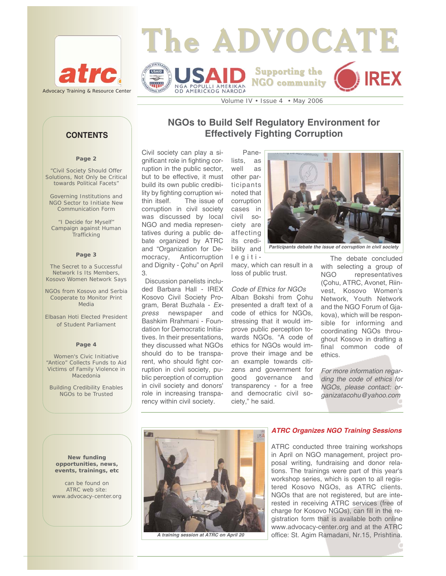



Volume IV • Issue 4 • May 2006

### **Page 2**

"Civil Society Should Offer Solutions, Not Only be Critical towards Political Facets"

Governing Institutions and NGO Sector to Initiate New Communication Form

"I Decide for Myself" Campaign against Human **Trafficking** 

### **Page 3**

The Secret to a Successful Network Is Its Members, Kosovo Women Network Says

NGOs from Kosovo and Serbia Cooperate to Monitor Print Media

Elbasan Hoti Elected President of Student Parliament

### **Page 4**

Women's Civic Initiative "Antico" Collects Funds to Aid Victims of Family Violence in Macedonia

Building Credibility Enables NGOs to be Trusted

# **NGOs to Build Self Regulatory Environment for CONTENTS Effectively Fighting Corruption**

Civil society can play a significant role in fighting corruption in the public sector, but to be effective, it must build its own public credibility by fighting corruption within itself. The issue of corruption in civil society was discussed by local NGO and media representatives during a public debate organized by ATRC and "Organization for Democracy, Anticorruption and Dignity - Çohu" on April 3.

Discussion panelists included Barbara Hall - IREX Kosovo Civil Society Program, Berat Buzhala - *Express* newspaper and Bashkim Rrahmani - Foundation for Democratic Initiatives. In their presentations, they discussed what NGOs should do to be transparent, who should fight corruption in civil society, public perception of corruption in civil society and donors' role in increasing transparency within civil society.



*Participants debate the issue of corruption in civil society* 

legitimacy, which can result in a loss of public trust.

bility and

*Code of Ethics for NGOs* Alban Bokshi from Çohu presented a draft text of a code of ethics for NGOs, stressing that it would improve public perception towards NGOs. "A code of ethics for NGOs would improve their image and be an example towards citizens and government for good governance and transparency - for a free and democratic civil society," he said.

The debate concluded with selecting a group of NGO representatives (Çohu, ATRC, Avonet, Riinvest, Kosovo Women's Network, Youth Network and the NGO Forum of Gjakova), which will be responsible for informing and coordinating NGOs throughout Kosovo in drafting a final common code of ethics.

*For more information regarding the code of ethics for NGOs, please contact: organizatacohu@yahoo.com*

**New funding opportunities, news, events, trainings, etc** 

can be found on ATRC web site: www.advocacy-center.org

# US.

*A training session at ATRC on April 20*

### *ATRC Organizes NGO Training Sessions*

ATRC conducted three training workshops in April on NGO management, project proposal writing, fundraising and donor relations. The trainings were part of this year's workshop series, which is open to all registered Kosovo NGOs, as ATRC clients. NGOs that are not registered, but are interested in receiving ATRC services (free of charge for Kosovo NGOs), can fill in the registration form that is available both online www.advocacy-center.org and at the ATRC office: St. Agim Ramadani, Nr.15, Prishtina.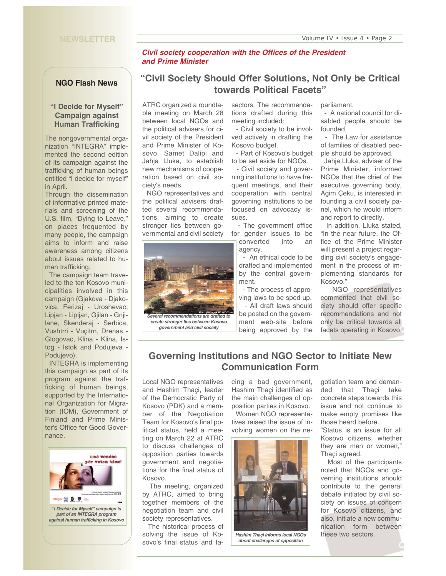### **NEWSLETTER**

### *Civil society cooperation with the Offices of the President and Prime Minister*

### **NGO Flash News**

## **"I Decide for Myself" Campaign against Human Trafficking**

The nongovernmental organization "INTEGRA" implemented the second edition of its campaign against the trafficking of human beings entitled "I decide for myself" in April.

Through the dissemination of informative printed materials and screening of the U.S. film, "Dying to Leave," on places frequented by many people, the campaign aims to inform and raise awareness among citizens about issues related to human trafficking.

The campaign team traveled to the ten Kosovo municipalities involved in this campaign (Gjakova - Djakovica, Ferizaj - Uroshevac, Lipjan - Lipljan, Gjilan - Gnjilane, Skenderaj - Serbica, Vushtrri - Vuçitrn, Drenas - Glogovac, Klina - Klina, Istog - Istok and Podujeva - Podujevo).

INTEGRA is implementing this campaign as part of its program against the trafficking of human beings, supported by the International Organization for Migration (IOM), Government of Finland and Prime Minister's Office for Good Governance.



# **"Civil Society Should Offer Solutions, Not Only be Critical towards Political Facets"**

ATRC organized a roundtable meeting on March 28 between local NGOs and the political advisers for civil society of the President and Prime Minister of Kosovo, Samet Dalipi and Jahja Lluka, to establish new mechanisms of cooperation based on civil society's needs.

NGO representatives and the political advisers drafted several recommendations, aiming to create stronger ties between governmental and civil society



*Several recommendations are drafted to create stronger ties between Kosovo government and civil society* 

sectors. The recommendations drafted during this meeting included:

- Civil society to be involved actively in drafting the Kosovo budget.

- Part of Kosovo's budget to be set aside for NGOs.

- Civil society and governing institutions to have frequent meetings, and their cooperation with central governing institutions to be focused on advocacy issues.

- The government office for gender issues to be converted into an

agency. - An ethical code to be

drafted and implemented by the central government.

- The process of approving laws to be sped up. - All draft laws should

be posted on the government web-site before being approved by the parliament.

- A national council for disabled people should be founded.

- The Law for assistance of families of disabled people should be approved.

Jahja Lluka, adviser of the Prime Minister, informed NGOs that the chief of the executive governing body, Agim Çeku, is interested in founding a civil society panel, which he would inform and report to directly.

In addition, Lluka stated, "In the near future, the Office of the Prime Minister will present a project regarding civil society's engagement in the process of implementing standards for Kosovo."

NGO representatives commented that civil society should offer specific recommendations and not only be critical towards all facets operating in Kosovo.

# **Governing Institutions and NGO Sector to Initiate New Communication Form**

Local NGO representatives and Hashim Thaçi, leader of the Democratic Party of Kosovo (PDK) and a member of the Negotiation Team for Kosovo's final political status, held a meeting on March 22 at ATRC to discuss challenges of opposition parties towards government and negotiations for the final status of Kosovo.

The meeting, organized by ATRC, aimed to bring together members of the negotiation team and civil society representatives.

The historical process of solving the issue of Kosovo's final status and facing a bad government, Hashim Thaçi identified as the main challenges of opposition parties in Kosovo.

Women NGO representatives raised the issue of involving women on the ne-



*Hashim Thaçi informs local NGOs about challenges of opposition* 

gotiation team and demanded that Thaçi take concrete steps towards this issue and not continue to make empty promises like those heard before.

"Status is an issue for all Kosovo citizens, whether they are men or women," Thaçi agreed.

Most of the participants noted that NGOs and governing institutions should contribute to the general debate initiated by civil society on issues of concern for Kosovo citizens, and also, initiate a new communication form between these two sectors.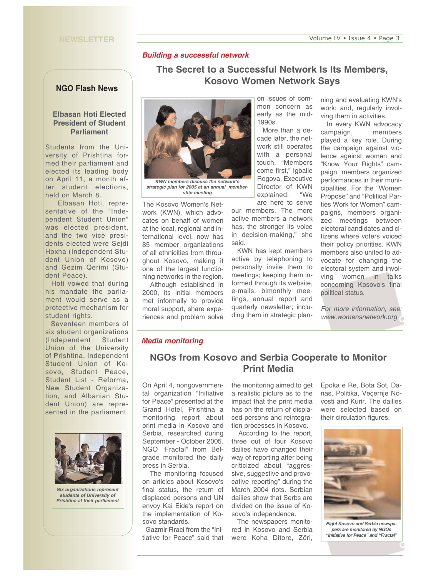### **NEWSLETTER**

## *Building a successful network*

# **The Secret to a Successful Network Is Its Members, Kosovo Women Network Says**

### **NGO Flash News**

### **Elbasan Hoti Elected President of Student Parliament**

Students from the University of Prishtina formed their parliament and elected its leading body on April 11, a month after student elections, held on March 8.

Elbasan Hoti, representative of the "Independent Student Union" was elected president, and the two vice presidents elected were Sejdi Hoxha (Independent Student Union of Kosovo) and Gezim Qerimi (Student Peace).

Hoti vowed that during his mandate the parliament would serve as a protective mechanism for student rights.

Seventeen members of six student organizations (Independent Student Union of the University of Prishtina, Independent Student Union of Kosovo, Student Peace, Student List - Reforma, New Student Organization, and Albanian Student Union) are represented in the parliament.



*Six organizations represent students of University of Prishtina at their parliament* 



*strategic plan for 2005 at an annual membership meeting*

The Kosovo Women's Network (KWN), which advocates on behalf of women at the local, regional and international level, now has 85 member organizations of all ethnicities from throughout Kosovo, making it one of the largest functioning networks in the region.

Although established in 2000, its initial members met informally to provide moral support, share experiences and problem solve on issues of common concern as early as the mid-1990s.

More than a decade later, the network still operates with a personal touch. "Members come first," Igballe Rogova, Executive Director of KWN explained. "We are here to serve

our members. The more active members a network has, the stronger its voice in decision-making," she said.

KWN has kept members active by telephoning to personally invite them to meetings; keeping them informed through its website, e-mails, bimonthly meetings, annual report and quarterly newsletter; including them in strategic planning and evaluating KWN's work; and, regularly involving them in activities.

In every KWN advocacy campaign, members played a key role. During the campaign against violence against women and "Know Your Rights" campaign, members organized performances in their municipalities. For the "Women Propose" and "Political Parties Work for Women" campaigns, members organized meetings between electoral candidates and citizens where voters voiced their policy priorities. KWN members also united to advocate for changing the electoral system and involving women in talks concerning Kosovo's final political status.

*For more information, see: www.womensnetwork.org* 

### *Media monitoring*

# **NGOs from Kosovo and Serbia Cooperate to Monitor Print Media**

On April 4, nongovernmental organization "Initiative for Peace" presented at the Grand Hotel, Prishtina a monitoring report about print media in Kosovo and Serbia, researched during September - October 2005. NGO "Fractal" from Belgrade monitored the daily press in Serbia.

The monitoring focused on articles about Kosovo's final status, the return of displaced persons and UN envoy Kai Eide's report on the implementation of Kosovo standards.

Gazmir Rraci from the "Initiative for Peace" said that

the monitoring aimed to get a realistic picture as to the impact that the print media has on the return of displaced persons and reintegration processes in Kosovo.

According to the report, three out of four Kosovo dailies have changed their way of reporting after being criticized about "aggressive, suggestive and provocative reporting" during the March 2004 riots. Serbian dailies show that Serbs are divided on the issue of Kosovo's independence.

The newspapers monitored in Kosovo and Serbia were Koha Ditore, Zëri, Epoka e Re, Bota Sot, Danas, Politika, Veçernje Novosti and Kurir. The dailies were selected based on their circulation figures.



*Eight Kosovo and Serbia newspapers are monitored by NGOs "Initiative for Peace" and "Fractal"*